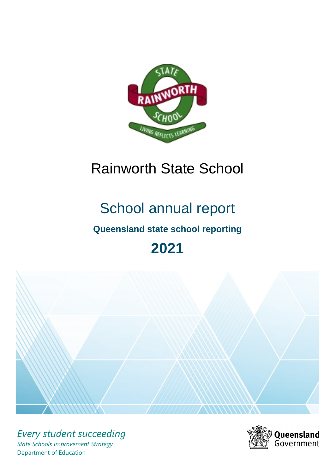

# Rainworth State School

# School annual report

# **Queensland state school reporting**

# **2021**



*Every student succeeding State Schools Improvement Strategy* Department of Education

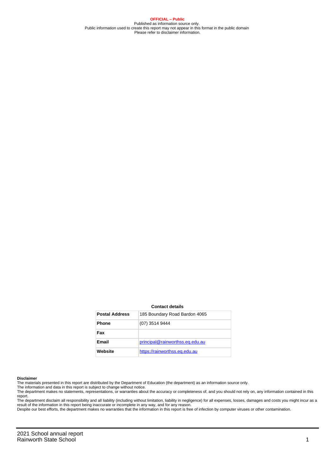**OFFICIAL – Public** Published as information source only. Public information used to create this report may not appear in this format in the public domain Please refer to disclaimer information.

#### **Contact details**

| <b>Postal Address</b> | 185 Boundary Road Bardon 4065   |
|-----------------------|---------------------------------|
| <b>Phone</b>          | (07) 3514 9444                  |
| Fax                   |                                 |
| Email                 | principal@rainworthss.eq.edu.au |
| Website               | https://rainworthss.eg.edu.au   |

#### **Disclaimer**

The materials presented in this report are distributed by the Department of Education (the department) as an information source only.

The information and data in this report is subject to change without notice.<br>The department makes no statements, representations, or warranties about the accuracy or completeness of, and you should not rely on, any informa report.

The department disclaim all responsibility and all liability (including without limitation, liability in negligence) for all expenses, losses, damages and costs you might incur as a result of the information in this report being inaccurate or incomplete in any way, and for any reason.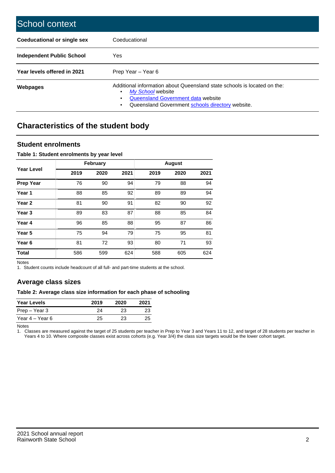| School context                   |                                                                                                                                                                                              |
|----------------------------------|----------------------------------------------------------------------------------------------------------------------------------------------------------------------------------------------|
| Coeducational or single sex      | Coeducational                                                                                                                                                                                |
| <b>Independent Public School</b> | <b>Yes</b>                                                                                                                                                                                   |
| Year levels offered in 2021      | Prep Year - Year 6                                                                                                                                                                           |
| Webpages                         | Additional information about Queensland state schools is located on the:<br>My School website<br>Queensland Government data website<br>Queensland Government schools directory website.<br>٠ |

# **Characteristics of the student body**

## **Student enrolments**

### **Table 1: Student enrolments by year level**

|                   | <b>February</b> |      | <b>August</b> |      |      |      |
|-------------------|-----------------|------|---------------|------|------|------|
| <b>Year Level</b> | 2019            | 2020 | 2021          | 2019 | 2020 | 2021 |
| <b>Prep Year</b>  | 76              | 90   | 94            | 79   | 88   | 94   |
| Year 1            | 88              | 85   | 92            | 89   | 89   | 94   |
| Year 2            | 81              | 90   | 91            | 82   | 90   | 92   |
| Year <sub>3</sub> | 89              | 83   | 87            | 88   | 85   | 84   |
| Year 4            | 96              | 85   | 88            | 95   | 87   | 86   |
| Year <sub>5</sub> | 75              | 94   | 79            | 75   | 95   | 81   |
| Year <sub>6</sub> | 81              | 72   | 93            | 80   | 71   | 93   |
| <b>Total</b>      | 586             | 599  | 624           | 588  | 605  | 624  |

Notes

1. Student counts include headcount of all full- and part-time students at the school.

## **Average class sizes**

### **Table 2: Average class size information for each phase of schooling**

| <b>Year Levels</b> | 2019 | 2020 | 2021 |
|--------------------|------|------|------|
| Prep – Year 3      | 24   | 23   | 23   |
| Year 4 – Year 6    | 25   | 23   | 25   |

Notes

1. Classes are measured against the target of 25 students per teacher in Prep to Year 3 and Years 11 to 12, and target of 28 students per teacher in Years 4 to 10. Where composite classes exist across cohorts (e.g. Year 3/4) the class size targets would be the lower cohort target.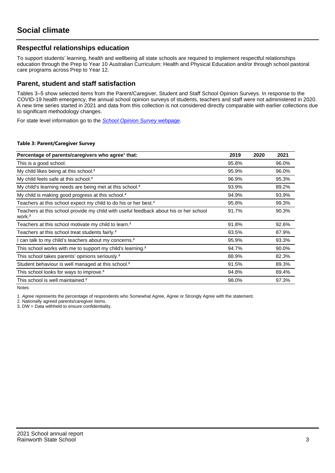## **Respectful relationships education**

To support students' learning, health and wellbeing all state schools are required to implement respectful relationships education through the Prep to Year 10 Australian Curriculum: Health and Physical Education and/or through school pastoral care programs across Prep to Year 12.

## **Parent, student and staff satisfaction**

Tables 3–5 show selected items from the Parent/Caregiver, Student and Staff School Opinion Surveys. In response to the COVID-19 health emergency, the annual school opinion surveys of students, teachers and staff were not administered in 2020. A new time series started in 2021 and data from this collection is not considered directly comparable with earlier collections due to significant methodology changes.

For state level information go to the **[School Opinion Survey](https://qed.qld.gov.au/publications/reports/statistics/schooling/schools/schoolopinionsurvey) webpage**.

#### **Table 3: Parent/Caregiver Survey**

| Percentage of parents/caregivers who agree <sup>1</sup> that:                                               | 2019  | 2020 | 2021  |
|-------------------------------------------------------------------------------------------------------------|-------|------|-------|
| This is a good school.                                                                                      | 95.8% |      | 96.0% |
| My child likes being at this school. <sup>2</sup>                                                           | 95.9% |      | 96.0% |
| My child feels safe at this school. <sup>2</sup>                                                            | 96.9% |      | 95.3% |
| My child's learning needs are being met at this school. <sup>2</sup>                                        | 93.9% |      | 89.2% |
| My child is making good progress at this school. <sup>2</sup>                                               | 94.9% |      | 93.9% |
| Teachers at this school expect my child to do his or her best. <sup>2</sup>                                 | 95.8% |      | 99.3% |
| Teachers at this school provide my child with useful feedback about his or her school<br>work. <sup>2</sup> | 91.7% |      | 90.3% |
| Teachers at this school motivate my child to learn. <sup>2</sup>                                            | 91.8% |      | 92.6% |
| Teachers at this school treat students fairly. <sup>2</sup>                                                 | 93.5% |      | 87.9% |
| I can talk to my child's teachers about my concerns. <sup>2</sup>                                           | 95.9% |      | 93.3% |
| This school works with me to support my child's learning. <sup>2</sup>                                      | 94.7% |      | 90.0% |
| This school takes parents' opinions seriously. <sup>2</sup>                                                 | 88.9% |      | 82.3% |
| Student behaviour is well managed at this school. <sup>2</sup>                                              | 91.5% |      | 89.3% |
| This school looks for ways to improve. <sup>2</sup>                                                         | 94.8% |      | 89.4% |
| This school is well maintained. <sup>2</sup>                                                                | 98.0% |      | 97.3% |

Notes

1. Agree represents the percentage of respondents who Somewhat Agree, Agree or Strongly Agree with the statement.

2. Nationally agreed parents/caregiver items.

3. DW = Data withheld to ensure confidentiality.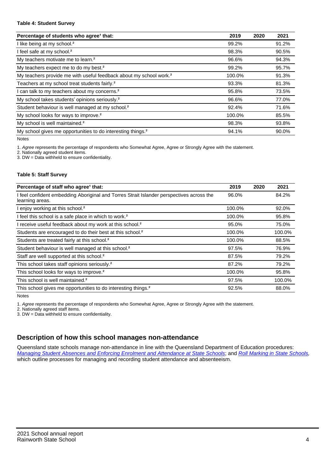#### **Table 4: Student Survey**

| Percentage of students who agree <sup>1</sup> that:                            | 2019   | 2020 | 2021  |
|--------------------------------------------------------------------------------|--------|------|-------|
| I like being at my school. <sup>2</sup>                                        | 99.2%  |      | 91.2% |
| I feel safe at my school. <sup>2</sup>                                         | 98.3%  |      | 90.5% |
| My teachers motivate me to learn. <sup>2</sup>                                 | 96.6%  |      | 94.3% |
| My teachers expect me to do my best. <sup>2</sup>                              | 99.2%  |      | 95.7% |
| My teachers provide me with useful feedback about my school work. <sup>2</sup> | 100.0% |      | 91.3% |
| Teachers at my school treat students fairly. <sup>2</sup>                      | 93.3%  |      | 81.3% |
| I can talk to my teachers about my concerns. <sup>2</sup>                      | 95.8%  |      | 73.5% |
| My school takes students' opinions seriously. <sup>2</sup>                     | 96.6%  |      | 77.0% |
| Student behaviour is well managed at my school. <sup>2</sup>                   | 92.4%  |      | 71.6% |
| My school looks for ways to improve. <sup>2</sup>                              | 100.0% |      | 85.5% |
| My school is well maintained. <sup>2</sup>                                     | 98.3%  |      | 93.8% |
| My school gives me opportunities to do interesting things. <sup>2</sup>        | 94.1%  |      | 90.0% |

Notes

1. Agree represents the percentage of respondents who Somewhat Agree, Agree or Strongly Agree with the statement.

2. Nationally agreed student items.

3. DW = Data withheld to ensure confidentiality.

### **Table 5: Staff Survey**

| Percentage of staff who agree <sup>1</sup> that:                                                            | 2019   | 2020 | 2021   |
|-------------------------------------------------------------------------------------------------------------|--------|------|--------|
| I feel confident embedding Aboriginal and Torres Strait Islander perspectives across the<br>learning areas. | 96.0%  |      | 84.2%  |
| I enjoy working at this school. <sup>2</sup>                                                                | 100.0% |      | 92.0%  |
| I feel this school is a safe place in which to work. <sup>2</sup>                                           | 100.0% |      | 95.8%  |
| I receive useful feedback about my work at this school. <sup>2</sup>                                        | 95.0%  |      | 75.0%  |
| Students are encouraged to do their best at this school. <sup>2</sup>                                       | 100.0% |      | 100.0% |
| Students are treated fairly at this school. <sup>2</sup>                                                    | 100.0% |      | 88.5%  |
| Student behaviour is well managed at this school. <sup>2</sup>                                              | 97.5%  |      | 76.9%  |
| Staff are well supported at this school. <sup>2</sup>                                                       | 87.5%  |      | 79.2%  |
| This school takes staff opinions seriously. <sup>2</sup>                                                    | 87.2%  |      | 79.2%  |
| This school looks for ways to improve. <sup>2</sup>                                                         | 100.0% |      | 95.8%  |
| This school is well maintained. <sup>2</sup>                                                                | 97.5%  |      | 100.0% |
| This school gives me opportunities to do interesting things. <sup>2</sup>                                   | 92.5%  |      | 88.0%  |

Notes

1. Agree represents the percentage of respondents who Somewhat Agree, Agree or Strongly Agree with the statement.

2. Nationally agreed staff items.

3. DW = Data withheld to ensure confidentiality.

## **Description of how this school manages non-attendance**

Queensland state schools manage non-attendance in line with the Queensland Department of Education procedures: [Managing Student Absences and Enforcing Enrolment and Attendance at State Schools](https://ppr.qed.qld.gov.au/pp/managing-student-absences-and-enforcing-enrolment-and-attendance-at-state-schools-procedure); and [Roll Marking in State Schools,](https://ppr.qed.qld.gov.au/pp/roll-marking-in-state-schools-procedure) which outline processes for managing and recording student attendance and absenteeism.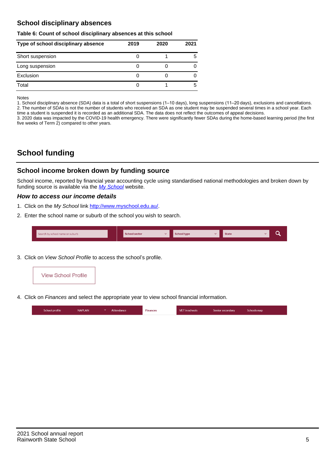## **School disciplinary absences**

#### **Table 6: Count of school disciplinary absences at this school**

| Type of school disciplinary absence | 2019 | 2020 | 2021 |
|-------------------------------------|------|------|------|
| Short suspension                    |      |      | 5    |
| Long suspension                     |      |      |      |
| Exclusion                           |      |      |      |
| Total                               |      |      | 5    |

Notes

1. School disciplinary absence (SDA) data is a total of short suspensions (1–10 days), long suspensions (11–20 days), exclusions and cancellations. 2. The number of SDAs is not the number of students who received an SDA as one student may be suspended several times in a school year. Each time a student is suspended it is recorded as an additional SDA. The data does not reflect the outcomes of appeal decisions.

3. 2020 data was impacted by the COVID-19 health emergency. There were significantly fewer SDAs during the home-based learning period (the first five weeks of Term 2) compared to other years.

# **School funding**

## **School income broken down by funding source**

School income, reported by financial year accounting cycle using standardised national methodologies and broken down by funding source is available via the  $My$  School website.

### **How to access our income details**

- 1. Click on the My School link <http://www.myschool.edu.au/>.
- 2. Enter the school name or suburb of the school you wish to search.

|  | Search by school name or suburb |  | <b>School sector</b> |  | $\sim$ and $\sim$ represents the set of $\sim$ | <b>State</b> |  |  |  |
|--|---------------------------------|--|----------------------|--|------------------------------------------------|--------------|--|--|--|
|--|---------------------------------|--|----------------------|--|------------------------------------------------|--------------|--|--|--|

3. Click on View School Profile to access the school's profile.



4. Click on Finances and select the appropriate year to view school financial information.

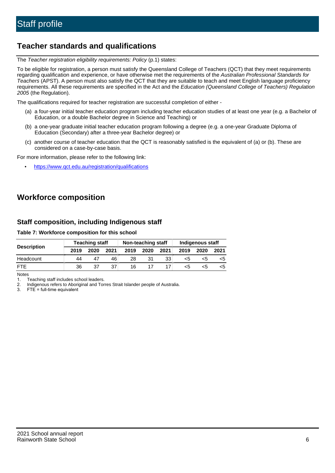## **Teacher standards and qualifications**

The Teacher registration eligibility requirements: Policy (p.1) states:

To be eligible for registration, a person must satisfy the Queensland College of Teachers (QCT) that they meet requirements regarding qualification and experience, or have otherwise met the requirements of the Australian Professional Standards for Teachers (APST). A person must also satisfy the QCT that they are suitable to teach and meet English language proficiency requirements. All these requirements are specified in the Act and the Education (Queensland College of Teachers) Regulation 2005 (the Regulation).

The qualifications required for teacher registration are successful completion of either -

- (a) a four-year initial teacher education program including teacher education studies of at least one year (e.g. a Bachelor of Education, or a double Bachelor degree in Science and Teaching) or
- (b) a one-year graduate initial teacher education program following a degree (e.g. a one-year Graduate Diploma of Education (Secondary) after a three-year Bachelor degree) or
- (c) another course of teacher education that the QCT is reasonably satisfied is the equivalent of (a) or (b). These are considered on a case-by-case basis.

For more information, please refer to the following link:

• <https://www.qct.edu.au/registration/qualifications>

# **Workforce composition**

## **Staff composition, including Indigenous staff**

**Table 7: Workforce composition for this school**

|                    | <b>Teaching staff</b> |      |      |      | Non-teaching staff |      | <b>Indigenous staff</b> |      |      |  |
|--------------------|-----------------------|------|------|------|--------------------|------|-------------------------|------|------|--|
| <b>Description</b> | 2019                  | 2020 | 2021 | 2019 | 2020               | 2021 | 2019                    | 2020 | 2021 |  |
| Headcount          | 44                    |      | 46   | 28   | 31                 | 33   | <5                      | כ>   |      |  |
| <b>FTF</b>         | 36                    | 37   | 37   | 16   |                    |      | <5                      |      |      |  |

Notes

1. Teaching staff includes school leaders.

2. Indigenous refers to Aboriginal and Torres Strait Islander people of Australia.

3. FTE = full-time equivalent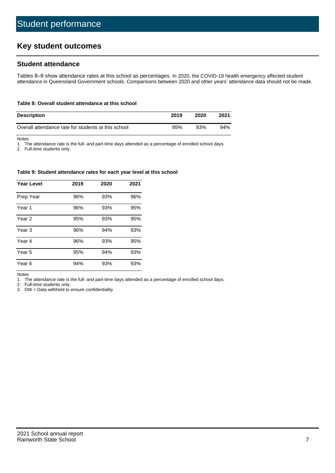# **Key student outcomes**

## **Student attendance**

Tables 8–9 show attendance rates at this school as percentages. In 2020, the COVID-19 health emergency affected student attendance in Queensland Government schools. Comparisons between 2020 and other years' attendance data should not be made.

#### **Table 8: Overall student attendance at this school**

| <b>Description</b>                                  | 2019 | 2020 | 2021 |
|-----------------------------------------------------|------|------|------|
| Overall attendance rate for students at this school | 95%  | 93%  | 94%  |

Notes

1. The attendance rate is the full- and part-time days attended as a percentage of enrolled school days.

2. Full-time students only.

#### **Table 9: Student attendance rates for each year level at this school**

| <b>Year Level</b> | 2019 | 2020 | 2021 |
|-------------------|------|------|------|
| Prep Year         | 96%  | 93%  | 96%  |
| Year <sub>1</sub> | 96%  | 93%  | 95%  |
| Year 2            | 95%  | 93%  | 95%  |
| Year <sub>3</sub> | 96%  | 94%  | 93%  |
| Year 4            | 96%  | 93%  | 95%  |
| Year 5            | 95%  | 94%  | 93%  |
| Year <sub>6</sub> | 94%  | 93%  | 93%  |

Notes

1. The attendance rate is the full- and part-time days attended as a percentage of enrolled school days.

2. Full-time students only.

3. DW = Data withheld to ensure confidentiality